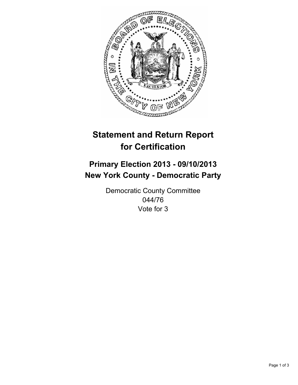

# **Statement and Return Report for Certification**

# **Primary Election 2013 - 09/10/2013 New York County - Democratic Party**

Democratic County Committee 044/76 Vote for 3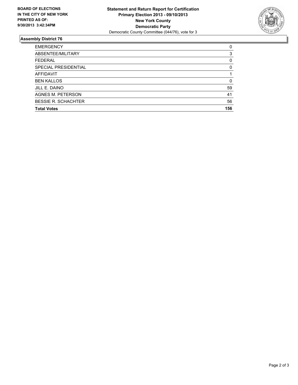

## **Assembly District 76**

| <b>EMERGENCY</b>           | 0        |
|----------------------------|----------|
| ABSENTEE/MILITARY          | 3        |
| <b>FEDERAL</b>             | 0        |
| SPECIAL PRESIDENTIAL       | $\Omega$ |
| <b>AFFIDAVIT</b>           |          |
| <b>BEN KALLOS</b>          | 0        |
| JILL E. DAINO              | 59       |
| <b>AGNES M. PETERSON</b>   | 41       |
| <b>BESSIE R. SCHACHTER</b> | 56       |
| <b>Total Votes</b>         | 156      |